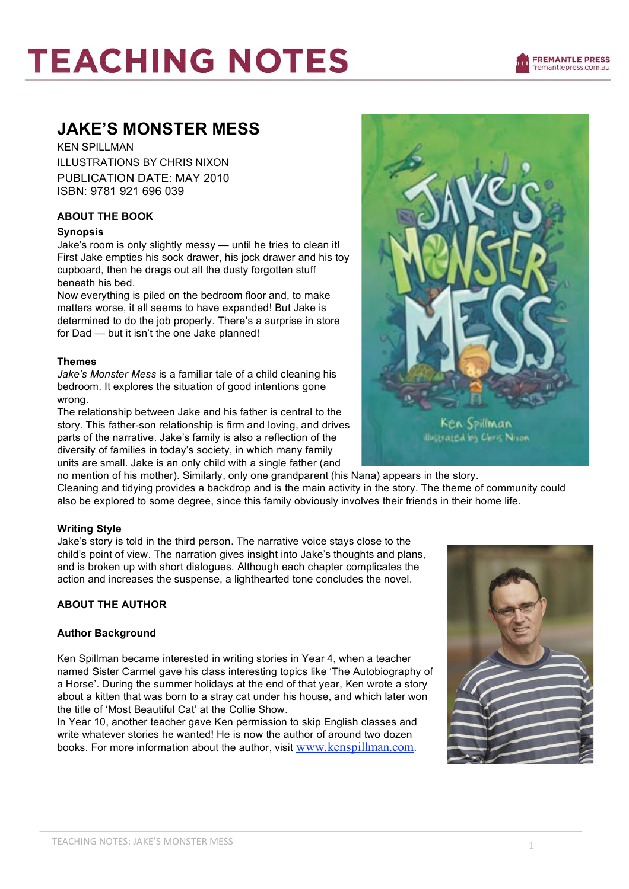# **JAKE'S MONSTER MESS**

KEN SPILLMAN ILLUSTRATIONS BY CHRIS NIXON PUBLICATION DATE: MAY 2010 ISBN: 9781 921 696 039

# **ABOUT THE BOOK**

# **Synopsis**

Jake's room is only slightly messy — until he tries to clean it! First Jake empties his sock drawer, his jock drawer and his toy cupboard, then he drags out all the dusty forgotten stuff beneath his bed.

Now everything is piled on the bedroom floor and, to make matters worse, it all seems to have expanded! But Jake is determined to do the job properly. There's a surprise in store for Dad — but it isn't the one Jake planned!

# **Themes**

*Jake's Monster Mess* is a familiar tale of a child cleaning his bedroom. It explores the situation of good intentions gone wrong.

The relationship between Jake and his father is central to the story. This father-son relationship is firm and loving, and drives parts of the narrative. Jake's family is also a reflection of the diversity of families in today's society, in which many family units are small. Jake is an only child with a single father (and

no mention of his mother). Similarly, only one grandparent (his Nana) appears in the story. Cleaning and tidying provides a backdrop and is the main activity in the story. The theme of community could also be explored to some degree, since this family obviously involves their friends in their home life.

# **Writing Style**

Jake's story is told in the third person. The narrative voice stays close to the child's point of view. The narration gives insight into Jake's thoughts and plans, and is broken up with short dialogues. Although each chapter complicates the action and increases the suspense, a lighthearted tone concludes the novel.

# **ABOUT THE AUTHOR**

# **Author Background**

Ken Spillman became interested in writing stories in Year 4, when a teacher named Sister Carmel gave his class interesting topics like 'The Autobiography of a Horse'. During the summer holidays at the end of that year, Ken wrote a story about a kitten that was born to a stray cat under his house, and which later won the title of 'Most Beautiful Cat' at the Collie Show.

In Year 10, another teacher gave Ken permission to skip English classes and write whatever stories he wanted! He is now the author of around two dozen books. For more information about the author, visit www.kenspillman.com.





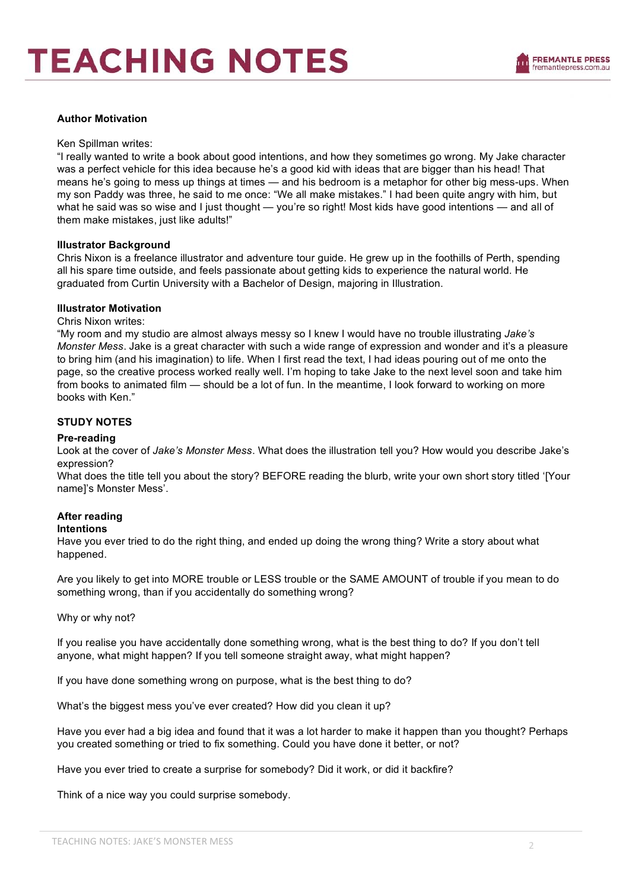### **Author Motivation**

#### Ken Spillman writes:

"I really wanted to write a book about good intentions, and how they sometimes go wrong. My Jake character was a perfect vehicle for this idea because he's a good kid with ideas that are bigger than his head! That means he's going to mess up things at times — and his bedroom is a metaphor for other big mess-ups. When my son Paddy was three, he said to me once: "We all make mistakes." I had been quite angry with him, but what he said was so wise and I just thought — you're so right! Most kids have good intentions — and all of them make mistakes, just like adults!"

### **Illustrator Background**

Chris Nixon is a freelance illustrator and adventure tour guide. He grew up in the foothills of Perth, spending all his spare time outside, and feels passionate about getting kids to experience the natural world. He graduated from Curtin University with a Bachelor of Design, majoring in Illustration.

### **Illustrator Motivation**

### Chris Nixon writes:

"My room and my studio are almost always messy so I knew I would have no trouble illustrating *Jake's Monster Mess*. Jake is a great character with such a wide range of expression and wonder and it's a pleasure to bring him (and his imagination) to life. When I first read the text, I had ideas pouring out of me onto the page, so the creative process worked really well. I'm hoping to take Jake to the next level soon and take him from books to animated film — should be a lot of fun. In the meantime, I look forward to working on more books with Ken."

# **STUDY NOTES**

### **Pre-reading**

Look at the cover of *Jake's Monster Mess*. What does the illustration tell you? How would you describe Jake's expression?

What does the title tell you about the story? BEFORE reading the blurb, write your own short story titled '[Your name]'s Monster Mess'.

# **After reading**

### **Intentions**

Have you ever tried to do the right thing, and ended up doing the wrong thing? Write a story about what happened.

Are you likely to get into MORE trouble or LESS trouble or the SAME AMOUNT of trouble if you mean to do something wrong, than if you accidentally do something wrong?

Why or why not?

If you realise you have accidentally done something wrong, what is the best thing to do? If you don't tell anyone, what might happen? If you tell someone straight away, what might happen?

If you have done something wrong on purpose, what is the best thing to do?

What's the biggest mess you've ever created? How did you clean it up?

Have you ever had a big idea and found that it was a lot harder to make it happen than you thought? Perhaps you created something or tried to fix something. Could you have done it better, or not?

Have you ever tried to create a surprise for somebody? Did it work, or did it backfire?

Think of a nice way you could surprise somebody.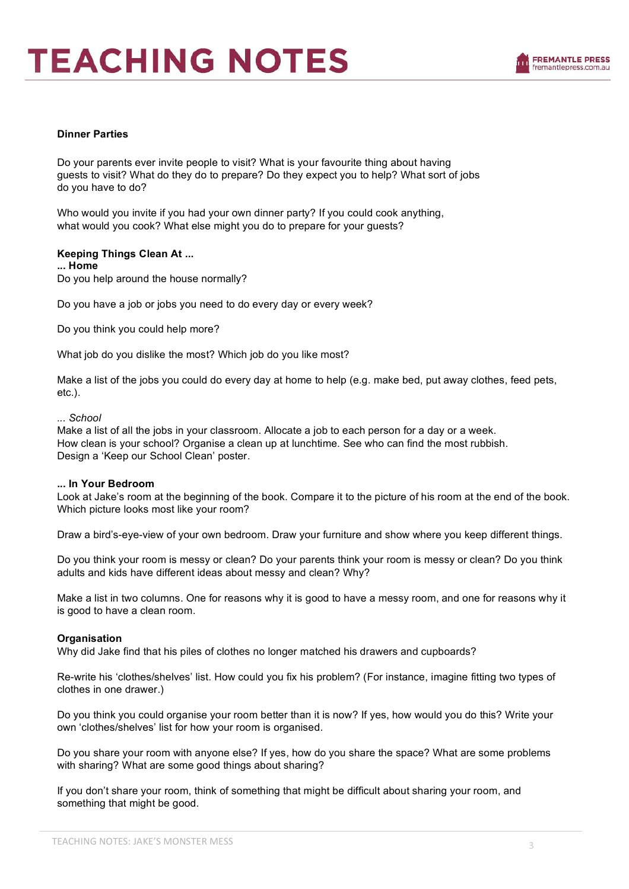

### **Dinner Parties**

Do your parents ever invite people to visit? What is your favourite thing about having guests to visit? What do they do to prepare? Do they expect you to help? What sort of jobs do you have to do?

Who would you invite if you had your own dinner party? If you could cook anything, what would you cook? What else might you do to prepare for your guests?

# **Keeping Things Clean At ...**

**... Home**

Do you help around the house normally?

Do you have a job or jobs you need to do every day or every week?

Do you think you could help more?

What job do you dislike the most? Which job do you like most?

Make a list of the jobs you could do every day at home to help (e.g. make bed, put away clothes, feed pets, etc.).

#### *... School*

Make a list of all the jobs in your classroom. Allocate a job to each person for a day or a week. How clean is your school? Organise a clean up at lunchtime. See who can find the most rubbish. Design a 'Keep our School Clean' poster.

### **... In Your Bedroom**

Look at Jake's room at the beginning of the book. Compare it to the picture of his room at the end of the book. Which picture looks most like your room?

Draw a bird's-eye-view of your own bedroom. Draw your furniture and show where you keep different things.

Do you think your room is messy or clean? Do your parents think your room is messy or clean? Do you think adults and kids have different ideas about messy and clean? Why?

Make a list in two columns. One for reasons why it is good to have a messy room, and one for reasons why it is good to have a clean room.

### **Organisation**

Why did Jake find that his piles of clothes no longer matched his drawers and cupboards?

Re-write his 'clothes/shelves' list. How could you fix his problem? (For instance, imagine fitting two types of clothes in one drawer.)

Do you think you could organise your room better than it is now? If yes, how would you do this? Write your own 'clothes/shelves' list for how your room is organised.

Do you share your room with anyone else? If yes, how do you share the space? What are some problems with sharing? What are some good things about sharing?

If you don't share your room, think of something that might be difficult about sharing your room, and something that might be good.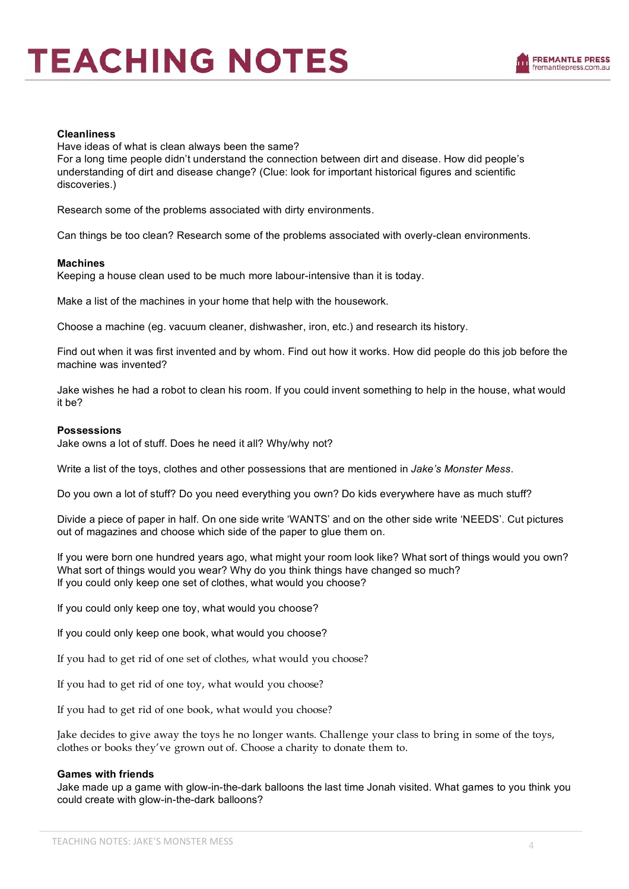

### **Cleanliness**

Have ideas of what is clean always been the same?

For a long time people didn't understand the connection between dirt and disease. How did people's understanding of dirt and disease change? (Clue: look for important historical figures and scientific discoveries.)

Research some of the problems associated with dirty environments.

Can things be too clean? Research some of the problems associated with overly-clean environments.

#### **Machines**

Keeping a house clean used to be much more labour-intensive than it is today.

Make a list of the machines in your home that help with the housework.

Choose a machine (eg. vacuum cleaner, dishwasher, iron, etc.) and research its history.

Find out when it was first invented and by whom. Find out how it works. How did people do this job before the machine was invented?

Jake wishes he had a robot to clean his room. If you could invent something to help in the house, what would it be?

#### **Possessions**

Jake owns a lot of stuff. Does he need it all? Why/why not?

Write a list of the toys, clothes and other possessions that are mentioned in *Jake's Monster Mess*.

Do you own a lot of stuff? Do you need everything you own? Do kids everywhere have as much stuff?

Divide a piece of paper in half. On one side write 'WANTS' and on the other side write 'NEEDS'. Cut pictures out of magazines and choose which side of the paper to glue them on.

If you were born one hundred years ago, what might your room look like? What sort of things would you own? What sort of things would you wear? Why do you think things have changed so much? If you could only keep one set of clothes, what would you choose?

If you could only keep one toy, what would you choose?

If you could only keep one book, what would you choose?

If you had to get rid of one set of clothes, what would you choose?

If you had to get rid of one toy, what would you choose?

If you had to get rid of one book, what would you choose?

Jake decides to give away the toys he no longer wants. Challenge your class to bring in some of the toys, clothes or books they've grown out of. Choose a charity to donate them to.

#### **Games with friends**

Jake made up a game with glow-in-the-dark balloons the last time Jonah visited. What games to you think you could create with glow-in-the-dark balloons?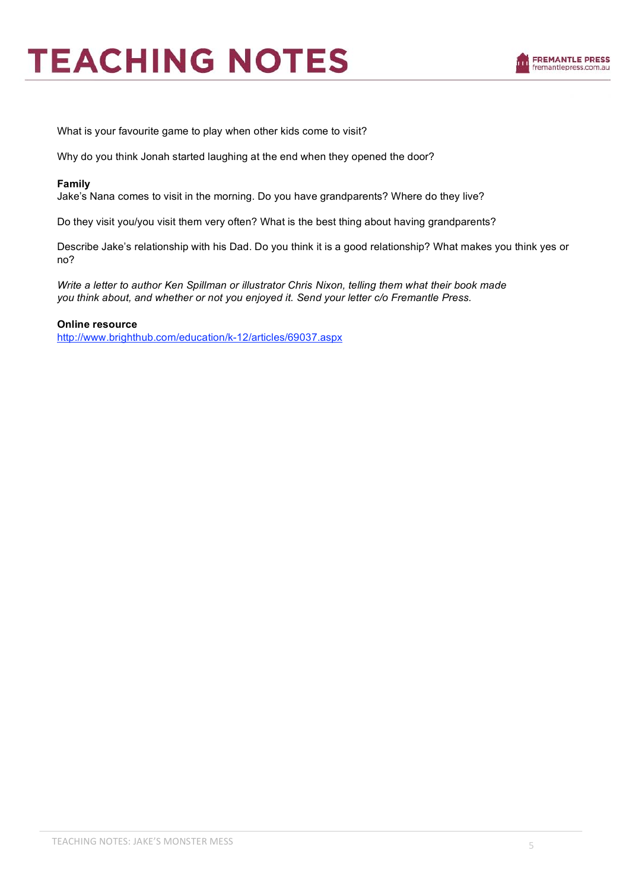

What is your favourite game to play when other kids come to visit?

Why do you think Jonah started laughing at the end when they opened the door?

### **Family**

Jake's Nana comes to visit in the morning. Do you have grandparents? Where do they live?

Do they visit you/you visit them very often? What is the best thing about having grandparents?

Describe Jake's relationship with his Dad. Do you think it is a good relationship? What makes you think yes or no?

*Write a letter to author Ken Spillman or illustrator Chris Nixon, telling them what their book made you think about, and whether or not you enjoyed it. Send your letter c/o Fremantle Press.*

### **Online resource**

http://www.brighthub.com/education/k-12/articles/69037.aspx